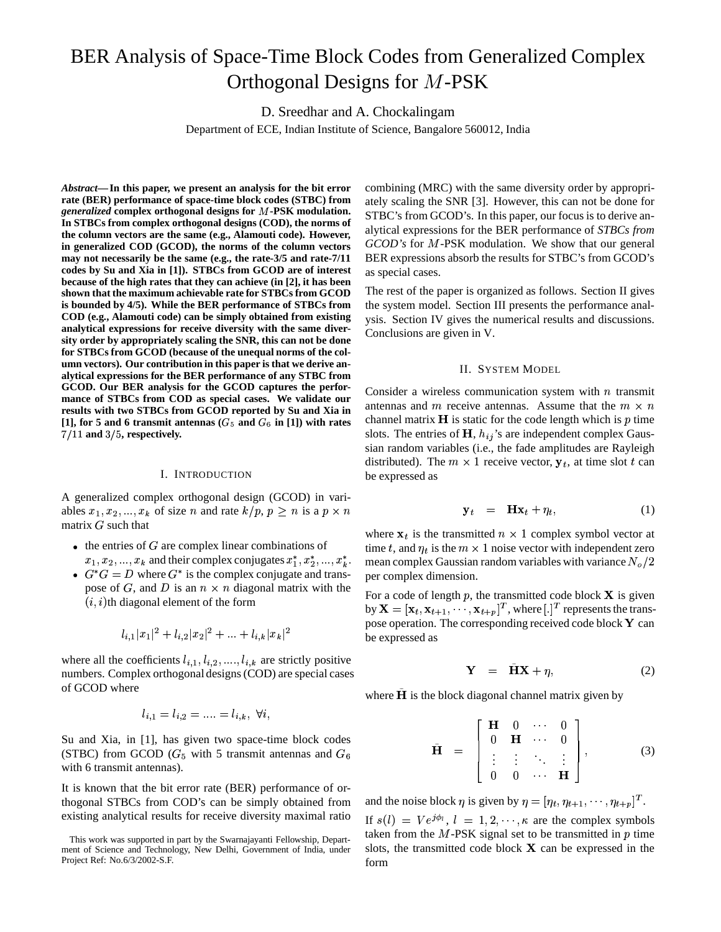# BER Analysis of Space-Time Block Codes from Generalized Complex Orthogonal Designs for M-PSK

D. Sreedhar and A. Chockalingam

Department of ECE, Indian Institute of Science, Bangalore 560012, India

*Abstract***—In this paper, we present an analysis for the bit error rate (BER) performance of space-time block codes (STBC) from** *generalized* **complex orthogonal designs for -PSK modulation. In STBCs from complex orthogonal designs (COD), the norms of the column vectors are the same (e.g., Alamouti code). However, in generalized COD (GCOD), the norms of the column vectors may not necessarily be the same (e.g., the rate-3/5 and rate-7/11 codes by Su and Xia in [1]). STBCs from GCOD are of interest because of the high rates that they can achieve (in [2], it has been shown that the maximum achievable rate for STBCsfrom GCOD is bounded by 4/5). While the BER performance of STBCs from COD (e.g., Alamouti code) can be simply obtained from existing analytical expressions for receive diversity with the same diversity order by appropriately scaling the SNR, this can not be done for STBCs from GCOD (because of the unequal norms of the column vectors). Our contribution in this paper is that we derive analytical expressions for the BER performance of any STBC from GCOD. Our BER analysis for the GCOD captures the performance of STBCs from COD as special cases. We validate our results with two STBCs from GCOD reported by Su and Xia in**  $[1]$ , for 5 and 6 transmit antennas  $(G_5 \text{ and } G_6 \text{ in } [1])$  with rates  $7/11$  and  $3/5$ , respectively.

#### I. INTRODUCTION

A generalized complex orthogonal design (GCOD) in variables  $x_1, x_2, ..., x_k$  of size n and rate  $k/p, p \geq n$  is a  $p \times n$ matrix  $G$  such that

- $\bullet$  the entries of  $G$  are complex linear combinations of  $x_1, x_2, ..., x_k$  and their complex conjugates  $x_1^*, x_2^*, ..., x_k^*$ .
- $\bullet$   $G^*G = D$  where  $G^*$  is the complex conjugate and transpose of G, and D is an  $n \times n$  diagonal matrix with the  $(i, i)$ th diagonal element of the form

$$
l_{i,1}|x_1|^2+l_{i,2}|x_2|^2+...+l_{i,k}|x_k|^2\\
$$

where all the coefficients  $l_{i,1}, l_{i,2}, ..., l_{i,k}$  are strictly positive numbers. Complex orthogonal designs(COD) are special cases of GCOD where

$$
l_{i,1} = l_{i,2} = \dots = l_{i,k}, \ \forall i,
$$

Su and Xia, in [1], has given two space-time block codes (STBC) from GCOD ( $G_5$  with 5 transmit antennas and  $G_6$ with 6 transmit antennas).

It is known that the bit error rate (BER) performance of orthogonal STBCs from COD's can be simply obtained from existing analytical results for receive diversity maximal ratio combining (MRC) with the same diversity order by appropriately scaling the SNR [3]. However, this can not be done for STBC's from GCOD's. In this paper, our focus is to derive analytical expressions for the BER performance of *STBCs from GCOD's* for *M*-PSK modulation. We show that our general BER expressions absorb the results for STBC's from GCOD's as special cases.

The rest of the paper is organized as follows. Section II gives the system model. Section III presents the performance analysis. Section IV gives the numerical results and discussions. Conclusions are given in V.

### II. SYSTEM MODEL

Consider a wireless communication system with  $n$  transmit antennas and  $m$  receive antennas. Assume that the  $m \times n$ channel matrix  $H$  is static for the code length which is  $p$  time slots. The entries of  $H$ ,  $h_{ij}$ 's are independent complex Gaussian random variables (i.e., the fade amplitudes are Rayleigh distributed). The  $m \times 1$  receive vector,  $y_t$ , at time slot  $t$  can be expressed as

$$
\mathbf{y}_t = \mathbf{H}\mathbf{x}_t + \eta_t, \tag{1}
$$

where  $\mathbf{x}_t$  is the transmitted  $n \times 1$  complex symbol vector at time t, and  $\eta_t$  is the  $m \times 1$  noise vector with independent zero mean complex Gaussian random variables with variance  $N_o/2$ per complex dimension.

For a code of length  $p$ , the transmitted code block  $X$  is given by  $\mathbf{X}=[\mathbf{x}_t,\mathbf{x}_{t+1},\cdots,\mathbf{x}_{t+p}]^T$ , where  $[.]^T$  represents the transpose operation. The corresponding received code block  $Y$  can be expressed as

$$
\mathbf{Y} = \tilde{\mathbf{H}} \mathbf{X} + \eta, \tag{2}
$$

where  $H$  is the block diagonal channel matrix given by

$$
\tilde{\mathbf{H}} = \begin{bmatrix} \mathbf{H} & 0 & \cdots & 0 \\ 0 & \mathbf{H} & \cdots & 0 \\ \vdots & \vdots & \ddots & \vdots \\ 0 & 0 & \cdots & \mathbf{H} \end{bmatrix}, \tag{3}
$$

and the noise block  $\eta$  is given by  $\eta = [\eta_t, \eta_{t+1}, \dots, \eta_{t+p}]^T$ .

If  $s(l) = Ve^{j\phi_l}$ ,  $l = 1, 2, \dots, \kappa$  are the complex symbols taken from the  $M$ -PSK signal set to be transmitted in  $p$  time slots, the transmitted code block  $X$  can be expressed in the form

This work was supported in part by the Swarnajayanti Fellowship, Department of Science and Technology, New Delhi, Government of India, under Project Ref: No.6/3/2002-S.F.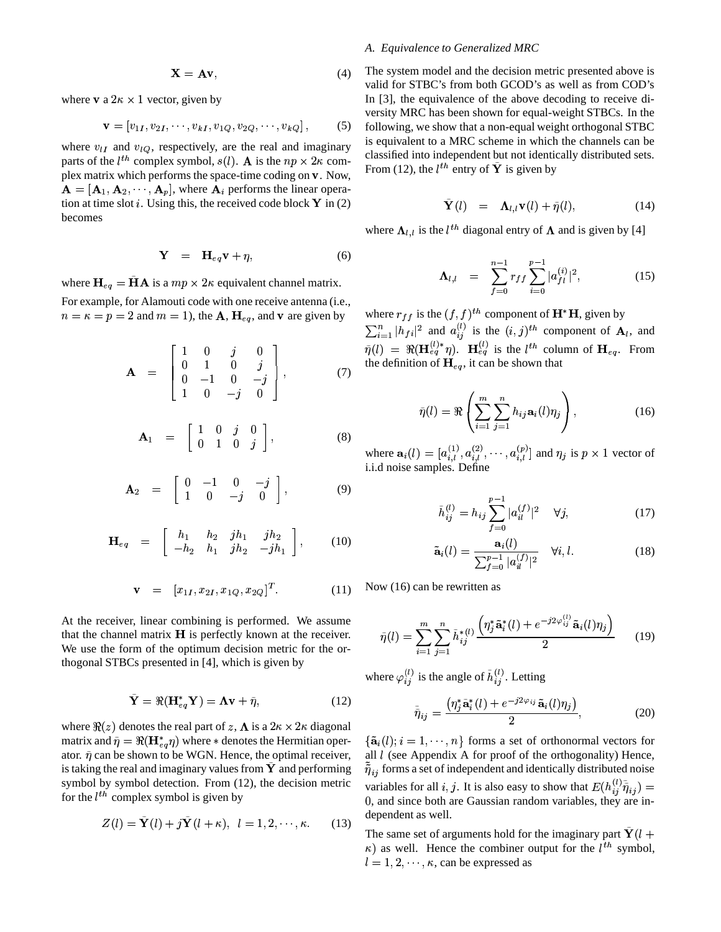$$
\mathbf{X} = \mathbf{A}\mathbf{v},\tag{4}
$$

where **v** a  $2\kappa \times 1$  vector, given by

$$
\mathbf{v} = [v_{1I}, v_{2I}, \cdots, v_{kI}, v_{1Q}, v_{2Q}, \cdots, v_{kQ}], \quad (5)
$$

where  $v_{II}$  and  $v_{IQ}$ , respectively, are the real and imaginary parts of the  $l^{th}$  complex symbol,  $s(l)$ . A is the  $np \times 2\kappa$  complex matrix which performs the space-time coding on v. Now,  ${\bf A} = [{\bf A}_1, {\bf A}_2, \cdots, {\bf A}_p],$  where  ${\bf A}_i$  performs the linear operation at time slot *i*. Using this, the received code block  $\bf{Y}$  in (2) becomes

$$
\mathbf{Y} = \mathbf{H}_{eq}\mathbf{v} + \eta, \tag{6}
$$

where  $H_{eq} = HA$  is a  $mp \times 2\kappa$  equivalent channel matrix. For example, for Alamouti code with one receive antenna (i.e.,

 $n = \kappa = p = 2$  and  $m = 1$ ), the **A**, **H**<sub>eq</sub>, and **v** are given by

$$
\mathbf{A} = \begin{bmatrix} 1 & 0 & j & 0 \\ 0 & 1 & 0 & j \\ 0 & -1 & 0 & -j \\ 1 & 0 & -j & 0 \end{bmatrix}, \quad (7)
$$

$$
\mathbf{A}_1 = \begin{bmatrix} 1 & 0 & j & 0 \\ 0 & 1 & 0 & j \end{bmatrix}, \tag{8}
$$

$$
\mathbf{A}_2 = \begin{bmatrix} 0 & -1 & 0 & -j \\ 1 & 0 & -j & 0 \end{bmatrix}, \tag{9}
$$

$$
\mathbf{H}_{eq} = \begin{bmatrix} h_1 & h_2 & jh_1 & jh_2 \\ -h_2 & h_1 & jh_2 & -jh_1 \end{bmatrix}, \quad (10)
$$

$$
\mathbf{v} = [x_{1I}, x_{2I}, x_{1Q}, x_{2Q}]^{T}.
$$
 (11)

At the receiver, linear combining is performed. We assume that the channel matrix  $H$  is perfectly known at the receiver. We use the form of the optimum decision metric for the orthogonal STBCs presented in [4], which is given by

$$
\tilde{\mathbf{Y}} = \Re(\mathbf{H}_{eq}^* \mathbf{Y}) = \mathbf{\Lambda} \mathbf{v} + \tilde{\eta},\tag{12}
$$

where  $\Re(z)$  denotes the real part of  $z, \Lambda$  is a  $2\kappa \times 2\kappa$  diagonal matrix and  $\tilde{\eta} = \Re(\mathbf{H}_{eq}^* \eta)$  where  $*$  denotes the Hermitian operator.  $\tilde{\eta}$  can be shown to be WGN. Hence, the optimal receiver, is taking the real and imaginary values from  $Y$  and performing symbol by symbol detection. From (12), the decision metric for the  $l^{th}$  complex symbol is given by

$$
Z(l) = \mathbf{Y}(l) + j\mathbf{Y}(l+\kappa), \ \ l = 1, 2, \cdots, \kappa. \tag{13}
$$

## *A. Equivalence to Generalized MRC*

The system model and the decision metric presented above is valid for STBC's from both GCOD's as well as from COD's In [3], the equivalence of the above decoding to receive diversity MRC has been shown for equal-weight STBCs. In the following, we show that a non-equal weight orthogonal STBC is equivalent to a MRC scheme in which the channels can be classified into independent but not identically distributed sets. From (12), the  $l^{th}$  entry of  $\tilde{\mathbf{Y}}$  is given by

$$
\mathbf{Y}(l) = \mathbf{\Lambda}_{l,l} \mathbf{v}(l) + \tilde{\eta}(l), \qquad (14)
$$

where  $\Lambda_{l,l}$  is the  $l^{th}$  diagonal entry of  $\Lambda$  and is given by [4]

$$
\Lambda_{l,l} = \sum_{f=0}^{n-1} r_{ff} \sum_{i=0}^{p-1} |a_{fl}^{(i)}|^2, \qquad (15)
$$

where  $r_{ff}$  is the  $(f, f)^{th}$  component of  $\mathbf{H}^* \mathbf{H}$ , given by  $\sum_{i=1}^{n} |h_{fi}|^2$  and  $a_{ij}^{(l)}$  is the  $(i, j)^{th}$  component of  $\mathbf{A}_l$ , and  $\widetilde{\eta}(l) = \Re(\mathbf{H}_{eq}^{(l)*}\eta)$ .  $\mathbf{H}_{eq}^{(l)}$  is the  $l^{th}$  column of  $\mathbf{H}_{eq}$ . From the definition of  $H_{eq}$ , it can be shown that

$$
\tilde{\eta}(l) = \Re \left( \sum_{i=1}^{m} \sum_{j=1}^{n} h_{ij} \mathbf{a}_i(l) \eta_j \right), \qquad (16)
$$

where  $\mathbf{a}_i(l) = [a_{i,l}^{(1)}, a_{i,l}^{(2)}, \cdots, a_{i,l}^{(p)}]$  and  $\eta_j$  is  $p \times 1$  vector of i.i.d noise samples. Define

$$
\tilde{h}_{ij}^{(l)} = h_{ij} \sum_{f=0}^{p-1} |a_{il}^{(f)}|^2 \quad \forall j,
$$
\n(17)

$$
\tilde{\mathbf{a}}_i(l) = \frac{\mathbf{a}_i(l)}{\sum_{f=0}^{p-1} |a_{il}^{(f)}|^2} \quad \forall i, l.
$$
 (18)

Now (16) can be rewritten as

$$
\tilde{\eta}(l) = \sum_{i=1}^{m} \sum_{j=1}^{n} \tilde{h}_{ij}^{*(l)} \frac{\left(\eta_j^* \tilde{\mathbf{a}}_i^*(l) + e^{-j2\varphi_{ij}^{(l)}} \tilde{\mathbf{a}}_i(l)\eta_j\right)}{2} \tag{19}
$$

where  $\varphi_{i,j}^{(l)}$  is the angle of  $\tilde{h}_{i,j}^{(l)}$ . Letting

$$
\tilde{\tilde{\eta}}_{ij} = \frac{\left(\eta_j^* \tilde{\mathbf{a}}_i^*(l) + e^{-j2\varphi_{ij}} \tilde{\mathbf{a}}_i(l)\eta_j\right)}{2},\tag{20}
$$

 $\{\tilde{\mathbf{a}}_i(l); i = 1, \cdots, n\}$  forms a set of orthonormal vectors for all  $l$  (see Appendix A for proof of the orthogonality) Hence,  $\tilde{\tilde{\eta}}_{ij}$  forms a set of independent and identically distributed noise variables for all i, j. It is also easy to show that  $E(h_{ij}^{(l)}\tilde{\tilde{\eta}}_{ij}) =$ 0, and since both are Gaussian random variables, they are independent as well.

The same set of arguments hold for the imaginary part  $Y(l +$  $\kappa$ ) as well. Hence the combiner output for the  $l^{th}$  symbol,  $l = 1, 2, \dots, \kappa$ , can be expressed as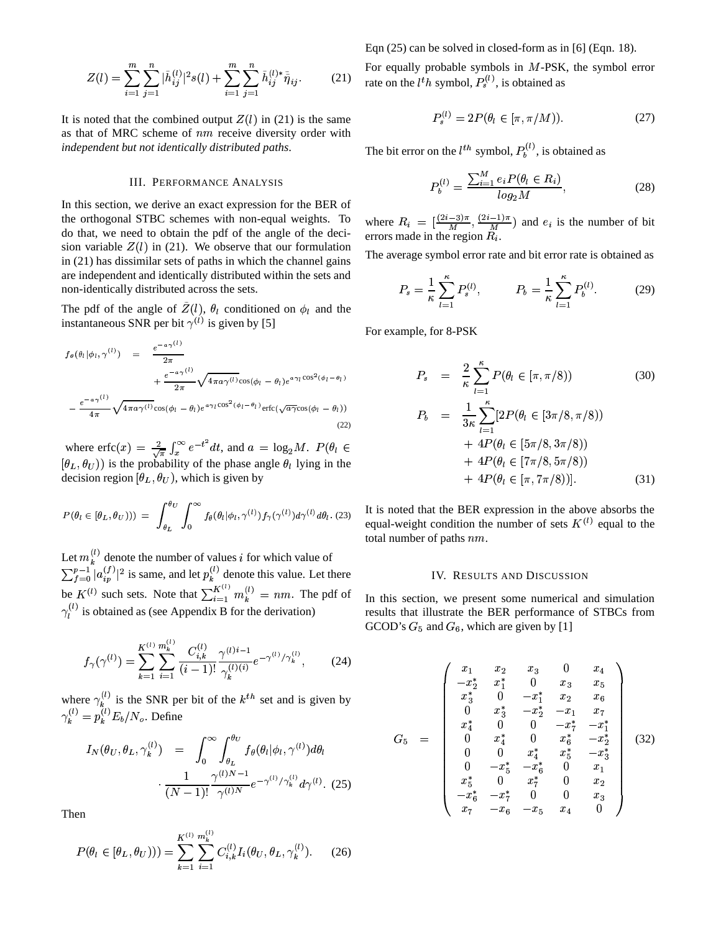Eqn (25) can be solved in closed-form as in [6] (Eqn. 18).

$$
Z(l) = \sum_{i=1}^{m} \sum_{j=1}^{n} |\tilde{h}_{ij}^{(l)}|^2 s(l) + \sum_{i=1}^{m} \sum_{j=1}^{n} \tilde{h}_{ij}^{(l)*} \tilde{\tilde{\eta}}_{ij}.
$$
 (21) For

It is noted that the combined output  $Z(l)$  in (21) is the same as that of MRC scheme of  $nm$  receive diversity order with *independent but not identically distributed paths*.

#### III. PERFORMANCE ANALYSIS

In this section, we derive an exact expression for the BER of the orthogonal STBC schemes with non-equal weights. To do that, we need to obtain the pdf of the angle of the decision variable  $Z(l)$  in (21). We observe that our formulation in (21) has dissimilar sets of paths in which the channel gains are independent and identically distributed within the sets and non-identically distributed across the sets.

The pdf of the angle of  $Z(l)$ ,  $\theta_l$  conditioned on  $\phi_l$  and the instantaneous SNR per bit  $\gamma^{(l)}$  is given by [5]

$$
f_{\theta}(\theta_l|\phi_l,\gamma^{(l)}) = \frac{e^{-a\gamma^{(l)}}}{2\pi} + \frac{e^{-a\gamma^{(l)}}}{2\pi}\sqrt{4\pi a\gamma^{(l)}}\cos(\phi_l - \theta_l)e^{a\gamma_l\cos^2(\phi_l - \theta_l)} - \frac{e^{-a\gamma^{(l)}}}{4\pi}\sqrt{4\pi a\gamma^{(l)}}\cos(\phi_l - \theta_l)e^{a\gamma_l\cos^2(\phi_l - \theta_l)}\text{erfc}(\sqrt{a\gamma}\cos(\phi_l - \theta_l))
$$
\n(22)

where  $erfc(x) = \frac{2}{\sqrt{\pi}} \int_x^{\infty} e^{-t^2} dt$ , and  $a = \log_2 M$ .  $P(\theta_i \in$  $(\theta_L, \theta_U)$ ) is the probability of the phase angle  $\theta_l$  lying in the decision region  $[\theta_L, \theta_U)$ , which is given by

$$
P(\theta_l \in [\theta_L, \theta_U))) = \int_{\theta_L}^{\theta_U} \int_0^{\infty} f_{\theta}(\theta_l | \phi_l, \gamma^{(l)}) f_{\gamma}(\gamma^{(l)}) d\gamma^{(l)} d\theta_l.
$$
 (23)

Let  $m_k^{(l)}$  denote the number of values *i* for which value of  $\blacksquare$  $\int_{t=0}^{p-1} |a_{in}^{(f)}|^2$  is same, and let  $p_k^{(l)}$  denote this value. Let there be  $K^{(l)}$  such sets. Note that  $\sum_{i=1}^{K^{(l)}}$  m PO  $\sum_{i=1}^m m_k^{y} = n$  $K^{(l)}$  such sets. Note that  $\sum_{i=1}^{K^{(l)}} m_k^{(l)} = nm$ . The pdf of  $\gamma_l^{(l)}$  is obtained as (see Appendix B for the derivation) 

$$
f_{\gamma}(\gamma^{(l)}) = \sum_{k=1}^{K^{(l)}} \sum_{i=1}^{m_k^{(l)}} \frac{C_{i,k}^{(l)}}{(i-1)!} \frac{\gamma^{(l)i-1}}{\gamma_k^{(l)(i)}} e^{-\gamma^{(l)}/\gamma_k^{(l)}},\tag{24}
$$

where  $\gamma_k^{(l)}$  is the SNR per bit of the  $k^{th}$  set and is given by  $\gamma^{(l)}_\mu = p^{(l)}_\mu E_b$ 0\_*rv*  $\int_{k}^{(l)} E_b/N_o$ . Define

$$
I_N(\theta_U, \theta_L, \gamma_k^{(l)}) = \int_0^\infty \int_{\theta_L}^{\theta_U} f_\theta(\theta_l | \phi_l, \gamma^{(l)}) d\theta_l
$$

$$
\cdot \frac{1}{(N-1)!} \frac{\gamma^{(l)N-1}}{\gamma^{(l)N}} e^{-\gamma^{(l)}/\gamma_k^{(l)}} d\gamma^{(l)}.
$$
(25)

Then

$$
P(\theta_l \in [\theta_L, \theta_U))) = \sum_{k=1}^{K^{(l)}} \sum_{i=1}^{m_k^{(l)}} C_{i,k}^{(l)} I_i(\theta_U, \theta_L, \gamma_k^{(l)}).
$$
 (26)

 $\sum \tilde{h}_{ij}^{(l)*} \tilde{\tilde{\eta}}_{ij}$ . (21) rate on the *l<sup>t</sup>h* symbol,  $P_s^{(l)}$ , is obtained as For equally probable symbols in  $M$ -PSK, the symbol error

$$
P_s^{(l)} = 2P(\theta_l \in [\pi, \pi/M)).
$$
 (27)

The bit error on the  $l^{th}$  symbol,  $P_h^{(l)}$ , is obtained as

$$
P_b^{(l)} = \frac{\sum_{i=1}^{M} e_i P(\theta_l \in R_i)}{\log_2 M},
$$
\n(28)

where  $R_i = \left[\frac{(2i-3)\pi}{M}, \frac{1}{M}\right]$ +:n  $\frac{(-1)^n}{M}, \frac{(2i-1)^n}{M}$  and  $\epsilon$  $\frac{-1}{M}$ ) and  $e_i$  is the ) and  $e_i$  is the number of bit errors made in the region  $R_i$ .

The average symbol error rate and bit error rate is obtained as

$$
P_s = \frac{1}{\kappa} \sum_{l=1}^{\kappa} P_s^{(l)}, \qquad P_b = \frac{1}{\kappa} \sum_{l=1}^{\kappa} P_b^{(l)}.
$$
 (29)

For example, for 8-PSK

$$
P_s = \frac{2}{\kappa} \sum_{l=1}^{\kappa} P(\theta_l \in [\pi, \pi/8))
$$
(30)  

$$
P_b = \frac{1}{3\kappa} \sum_{l=1}^{\kappa} [2P(\theta_l \in [3\pi/8, \pi/8))
$$

$$
+ 4P(\theta_l \in [5\pi/8, 3\pi/8))
$$

$$
+ 4P(\theta_l \in [7\pi/8, 5\pi/8))
$$

$$
+ 4P(\theta_l \in [\pi, 7\pi/8))].
$$
(31)

It is noted that the BER expression in the above absorbs the equal-weight condition the number of sets  $K^{(l)}$  equal to the total number of paths  $nm$ .

#### IV. RESULTS AND DISCUSSION

In this section, we present some numerical and simulation results that illustrate the BER performance of STBCs from GCOD's  $G_5$  and  $G_6$ , which are given by [1]

$$
G_5\ =\ \left(\begin{array}{cccccc} x_1&x_2&x_3&0&x_4\\-x_2^*&x_1^*&0&x_3&x_5\\x_3^*&0&-x_1^*&x_2&x_6\\0&x_3^*&-x_2^*&-x_1&x_7\\x_4^*&0&0&-x_7^*&-x_1^*\\0&x_4^*&0&x_6^*&-x_2^*\\0&0&x_4^*&x_5^*&-x_3^*\\0&-x_5^*&-x_6^*&0&x_1\\x_5^*&0&x_7^*&0&x_2\\-x_6^*&-x_7^*&0&0&x_3\\x_7&-x_6&-x_5&x_4&0\end{array}\right) \qquad \qquad \left(\begin{array}{cccccc} 0&x_1&x_2&x_3&x_4&x_5\\x_2&-x_1&x_2&x_6&x_6\\x_3&-x_1&x_2&x_6&x_7\\x_4&0&0&x_2&x_3\\x_4&-x_6&-x_5&x_4&0\end{array}\right)
$$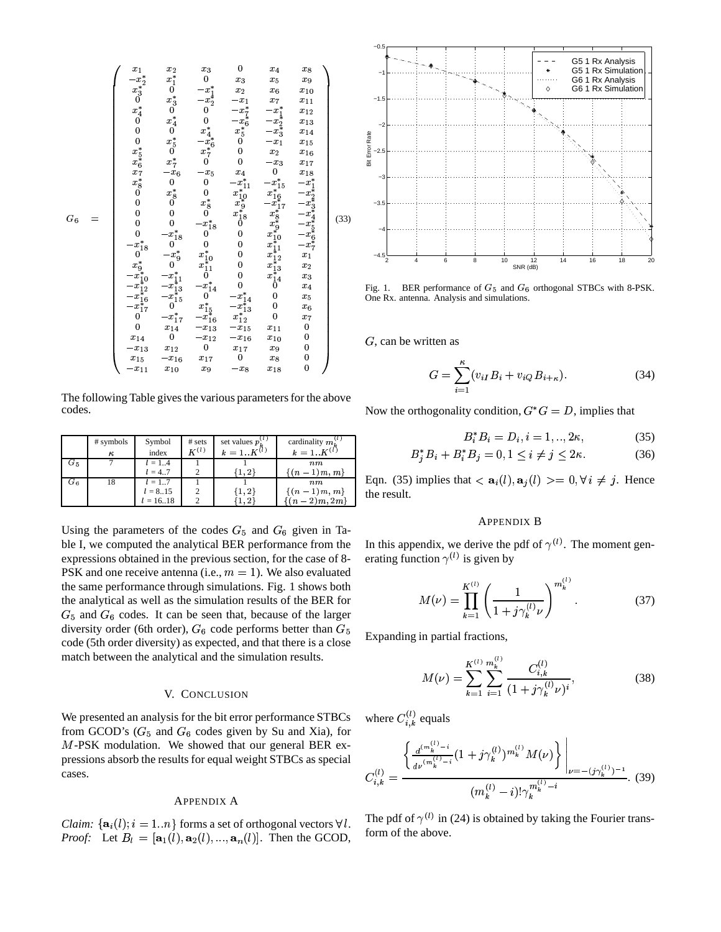

The following Table gives the various parameters for the above codes.

|       | # symbols | Symbol      | # sets    | set values $p_k^{(i)}$ | cardinality $m_k^{(l)}$ |             |
|-------|-----------|-------------|-----------|------------------------|-------------------------|-------------|
|       | $\kappa$  | index       | $K^{(l)}$ | $k = 1K^{(l)}$         | $k = 1, K^{(i)}$        |             |
| $G_5$ |           | $l = 14$    |           |                        | n m                     |             |
|       |           | $l = 4.7$   |           | 1, 2                   | $\{(n-1)m, m\}$         |             |
| $G_6$ |           | $l = 17$    |           |                        | n m                     | Eqn. $(35)$ |
|       |           | $l = 815$   |           | $\{1,2\}$              | $\{(n-1)m, m\}$         | the result  |
|       |           | $l = 16.18$ |           | [1, 2]                 | $\{(n-2)m, 2m\}$        |             |
|       |           |             |           |                        |                         |             |

Using the parameters of the codes  $G_5$  and  $G_6$  given in Table I, we computed the analytical BER performance from the expressions obtained in the previous section, for the case of 8- PSK and one receive antenna (i.e.,  $m = 1$ ). We also evaluated the same performance through simulations. Fig. 1 shows both the analytical as well as the simulation results of the BER for  $G<sub>5</sub>$  and  $G<sub>6</sub>$  codes. It can be seen that, because of the larger diversity order (6th order),  $G_6$  code performs better than  $G_5$ code (5th order diversity) as expected, and that there is a close match between the analytical and the simulation results.

#### V. CONCLUSION

We presented an analysis for the bit error performance STBCs from GCOD's ( $G_5$  and  $G_6$  codes given by Su and Xia), for  $M$ -PSK modulation. We showed that our general BER expressions absorb the results for equal weight STBCs as special cases.

#### APPENDIX A

*Claim:*  $\{a_i(l); i = 1..n\}$  forms a set of orthogonal vectors  $\forall l$ . *Proof:* Let  $B_l = [\mathbf{a}_1(l), \mathbf{a}_2(l), ..., \mathbf{a}_n(l)]$ . Then the GCOD,



Fig. 1. BER performance of  $G_5$  and  $G_6$  orthogonal STBCs with 8-PSK. One Rx. antenna. Analysis and simulations.

 $G$ , can be written as

$$
G = \sum_{i=1}^{k} (v_{iI} B_i + v_{iQ} B_{i+\kappa}).
$$
 (34)

Now the orthogonality condition,  $G^* G = D$ , implies that

$$
B_i^* B_i = D_i, i = 1, ..., 2\kappa,
$$
 (35)

$$
B_j^* B_i + B_i^* B_j = 0, 1 \le i \ne j \le 2\kappa.
$$
 (36)

 $\frac{F(m, m_f)}{m}$  Eqn. (35) implies that  $\langle \mathbf{a}_i(l), \mathbf{a}_j(l) \rangle = 0, \forall i \neq j$ . Hence  $\{m, m\}$  the result.

#### APPENDIX B

In this appendix, we derive the pdf of  $\gamma^{(l)}$ . The moment generating function  $\gamma^{(l)}$  is given by

$$
M(\nu) = \prod_{k=1}^{K^{(1)}} \left( \frac{1}{1 + j\gamma_k^{(l)}\nu} \right)^{m_k^{(l)}}.
$$
 (37)

Expanding in partial fractions,

$$
M(\nu) = \sum_{k=1}^{K^{(1)}} \sum_{i=1}^{m_k^{(l)}} \frac{C_{i,k}^{(l)}}{(1 + j\gamma_k^{(l)}\nu)^i},
$$
(38)

where  $C_{i,k}^{(l)}$  equals

$$
C_{i,k}^{(l)} = \frac{\left\{ \frac{d^{(m_k^{(l)}-i}}{d\nu^{(m_k^{(l)}-i)}} (1+j\gamma_k^{(l)})^{m_k^{(l)}} M(\nu) \right\}\Big|_{\nu = -(j\gamma_k^{(l)})^{-1}}}{(m_k^{(l)}-i)! \gamma_k^{m_k^{(l)}-i}}.
$$
 (39)

The pdf of  $\gamma^{(l)}$  in (24) is obtained by taking the Fourier transform of the above.